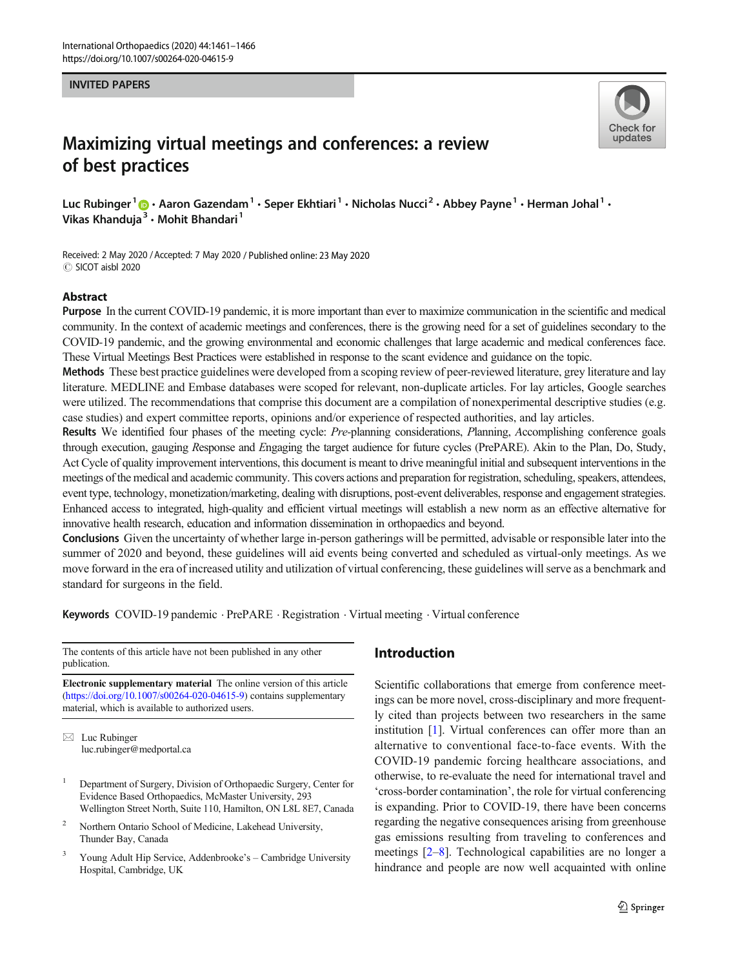#### INVITED PAPERS



# Maximizing virtual meetings and conferences: a review of best practices

Luc Rubinger<sup>1</sup> **D** • Aaron Gazendam<sup>1</sup> • Seper Ekhtiari<sup>1</sup> • Nicholas Nucci<sup>2</sup> • Abbey Payne<sup>1</sup> • Herman Johal<sup>1</sup> • Vikas Khanduja<sup>3</sup> · Mohit Bhandari<sup>1</sup>

Received: 2 May 2020 /Accepted: 7 May 2020 / Published online: 23 May 2020 C SICOT aisbl 2020

#### Abstract

Purpose In the current COVID-19 pandemic, it is more important than ever to maximize communication in the scientific and medical community. In the context of academic meetings and conferences, there is the growing need for a set of guidelines secondary to the COVID-19 pandemic, and the growing environmental and economic challenges that large academic and medical conferences face. These Virtual Meetings Best Practices were established in response to the scant evidence and guidance on the topic.

Methods These best practice guidelines were developed from a scoping review of peer-reviewed literature, grey literature and lay literature. MEDLINE and Embase databases were scoped for relevant, non-duplicate articles. For lay articles, Google searches were utilized. The recommendations that comprise this document are a compilation of nonexperimental descriptive studies (e.g. case studies) and expert committee reports, opinions and/or experience of respected authorities, and lay articles.

Results We identified four phases of the meeting cycle: Pre-planning considerations, Planning, Accomplishing conference goals through execution, gauging Response and Engaging the target audience for future cycles (PrePARE). Akin to the Plan, Do, Study, Act Cycle of quality improvement interventions, this document is meant to drive meaningful initial and subsequent interventions in the meetings of the medical and academic community. This covers actions and preparation for registration, scheduling, speakers, attendees, event type, technology, monetization/marketing, dealing with disruptions, post-event deliverables, response and engagement strategies. Enhanced access to integrated, high-quality and efficient virtual meetings will establish a new norm as an effective alternative for innovative health research, education and information dissemination in orthopaedics and beyond.

Conclusions Given the uncertainty of whether large in-person gatherings will be permitted, advisable or responsible later into the summer of 2020 and beyond, these guidelines will aid events being converted and scheduled as virtual-only meetings. As we move forward in the era of increased utility and utilization of virtual conferencing, these guidelines will serve as a benchmark and standard for surgeons in the field.

Keywords COVID-19 pandemic . PrePARE . Registration . Virtual meeting . Virtual conference

The contents of this article have not been published in any other publication.

Electronic supplementary material The online version of this article ([https://doi.org/10.1007/s00264-020-04615-9\)](https://doi.org/10.1007/s00264-020-04615-9) contains supplementary material, which is available to authorized users.

 $\boxtimes$  Luc Rubinger [luc.rubinger@medportal.ca](mailto:luc.rubinger@medportal.ca)

- <sup>1</sup> Department of Surgery, Division of Orthopaedic Surgery, Center for Evidence Based Orthopaedics, McMaster University, 293 Wellington Street North, Suite 110, Hamilton, ON L8L 8E7, Canada
- <sup>2</sup> Northern Ontario School of Medicine, Lakehead University, Thunder Bay, Canada
- <sup>3</sup> Young Adult Hip Service, Addenbrooke's Cambridge University Hospital, Cambridge, UK

# Introduction

Scientific collaborations that emerge from conference meetings can be more novel, cross-disciplinary and more frequently cited than projects between two researchers in the same institution [\[1](#page-5-0)]. Virtual conferences can offer more than an alternative to conventional face-to-face events. With the COVID-19 pandemic forcing healthcare associations, and otherwise, to re-evaluate the need for international travel and 'cross-border contamination', the role for virtual conferencing is expanding. Prior to COVID-19, there have been concerns regarding the negative consequences arising from greenhouse gas emissions resulting from traveling to conferences and meetings [[2](#page-5-0)–[8\]](#page-5-0). Technological capabilities are no longer a hindrance and people are now well acquainted with online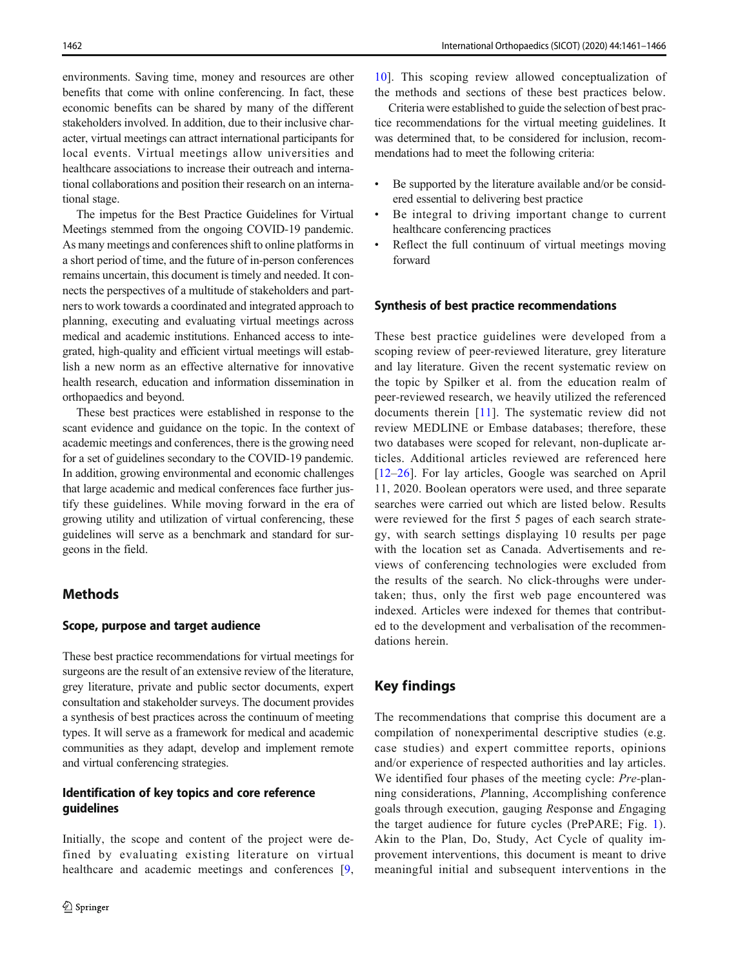environments. Saving time, money and resources are other benefits that come with online conferencing. In fact, these economic benefits can be shared by many of the different stakeholders involved. In addition, due to their inclusive character, virtual meetings can attract international participants for local events. Virtual meetings allow universities and healthcare associations to increase their outreach and international collaborations and position their research on an international stage.

The impetus for the Best Practice Guidelines for Virtual Meetings stemmed from the ongoing COVID-19 pandemic. As many meetings and conferences shift to online platforms in a short period of time, and the future of in-person conferences remains uncertain, this document is timely and needed. It connects the perspectives of a multitude of stakeholders and partners to work towards a coordinated and integrated approach to planning, executing and evaluating virtual meetings across medical and academic institutions. Enhanced access to integrated, high-quality and efficient virtual meetings will establish a new norm as an effective alternative for innovative health research, education and information dissemination in orthopaedics and beyond.

These best practices were established in response to the scant evidence and guidance on the topic. In the context of academic meetings and conferences, there is the growing need for a set of guidelines secondary to the COVID-19 pandemic. In addition, growing environmental and economic challenges that large academic and medical conferences face further justify these guidelines. While moving forward in the era of growing utility and utilization of virtual conferencing, these guidelines will serve as a benchmark and standard for surgeons in the field.

# **Methods**

#### Scope, purpose and target audience

These best practice recommendations for virtual meetings for surgeons are the result of an extensive review of the literature, grey literature, private and public sector documents, expert consultation and stakeholder surveys. The document provides a synthesis of best practices across the continuum of meeting types. It will serve as a framework for medical and academic communities as they adapt, develop and implement remote and virtual conferencing strategies.

#### Identification of key topics and core reference guidelines

Initially, the scope and content of the project were defined by evaluating existing literature on virtual healthcare and academic meetings and conferences [[9,](#page-5-0)

[10](#page-5-0)]. This scoping review allowed conceptualization of the methods and sections of these best practices below.

Criteria were established to guide the selection of best practice recommendations for the virtual meeting guidelines. It was determined that, to be considered for inclusion, recommendations had to meet the following criteria:

- & Be supported by the literature available and/or be considered essential to delivering best practice
- & Be integral to driving important change to current healthcare conferencing practices
- & Reflect the full continuum of virtual meetings moving forward

#### Synthesis of best practice recommendations

These best practice guidelines were developed from a scoping review of peer-reviewed literature, grey literature and lay literature. Given the recent systematic review on the topic by Spilker et al. from the education realm of peer-reviewed research, we heavily utilized the referenced documents therein [[11](#page-5-0)]. The systematic review did not review MEDLINE or Embase databases; therefore, these two databases were scoped for relevant, non-duplicate articles. Additional articles reviewed are referenced here [\[12](#page-5-0)–[26\]](#page-5-0). For lay articles, Google was searched on April 11, 2020. Boolean operators were used, and three separate searches were carried out which are listed below. Results were reviewed for the first 5 pages of each search strategy, with search settings displaying 10 results per page with the location set as Canada. Advertisements and reviews of conferencing technologies were excluded from the results of the search. No click-throughs were undertaken; thus, only the first web page encountered was indexed. Articles were indexed for themes that contributed to the development and verbalisation of the recommendations herein.

# Key findings

The recommendations that comprise this document are a compilation of nonexperimental descriptive studies (e.g. case studies) and expert committee reports, opinions and/or experience of respected authorities and lay articles. We identified four phases of the meeting cycle: Pre-planning considerations, Planning, Accomplishing conference goals through execution, gauging Response and Engaging the target audience for future cycles (PrePARE; Fig. [1](#page-2-0)). Akin to the Plan, Do, Study, Act Cycle of quality improvement interventions, this document is meant to drive meaningful initial and subsequent interventions in the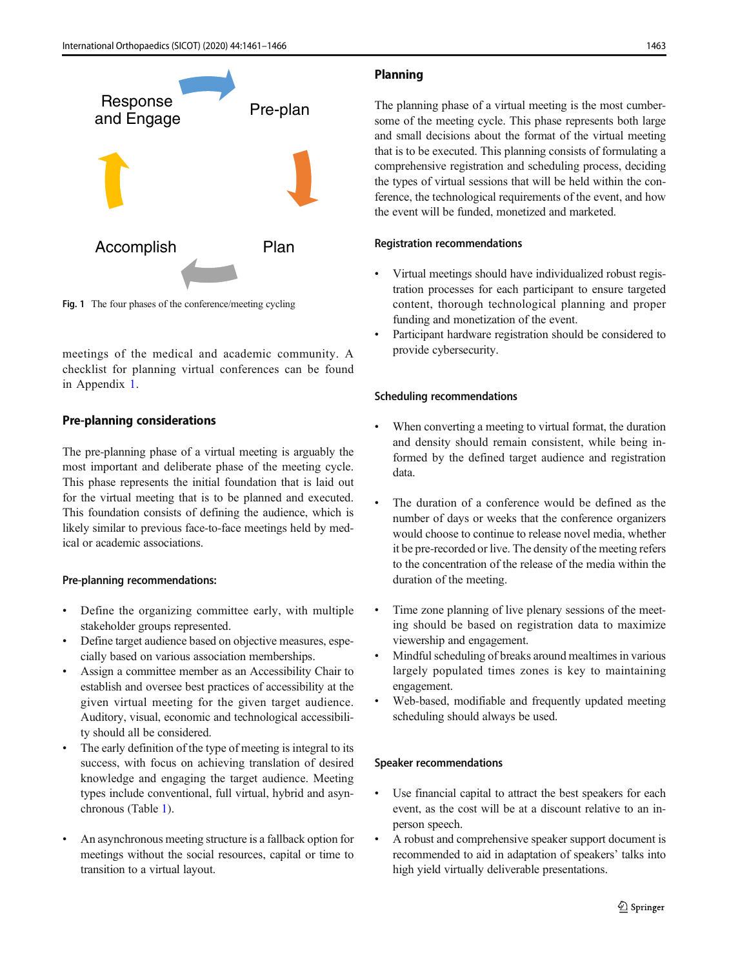<span id="page-2-0"></span>

Fig. 1 The four phases of the conference/meeting cycling

meetings of the medical and academic community. A checklist for planning virtual conferences can be found in Appendix 1.

# Pre-planning considerations

The pre-planning phase of a virtual meeting is arguably the most important and deliberate phase of the meeting cycle. This phase represents the initial foundation that is laid out for the virtual meeting that is to be planned and executed. This foundation consists of defining the audience, which is likely similar to previous face-to-face meetings held by medical or academic associations.

## Pre-planning recommendations:

- Define the organizing committee early, with multiple stakeholder groups represented.
- Define target audience based on objective measures, especially based on various association memberships.
- & Assign a committee member as an Accessibility Chair to establish and oversee best practices of accessibility at the given virtual meeting for the given target audience. Auditory, visual, economic and technological accessibility should all be considered.
- The early definition of the type of meeting is integral to its success, with focus on achieving translation of desired knowledge and engaging the target audience. Meeting types include conventional, full virtual, hybrid and asynchronous (Table [1\)](#page-3-0).
- An asynchronous meeting structure is a fallback option for meetings without the social resources, capital or time to transition to a virtual layout.

# Planning

The planning phase of a virtual meeting is the most cumbersome of the meeting cycle. This phase represents both large and small decisions about the format of the virtual meeting that is to be executed. This planning consists of formulating a comprehensive registration and scheduling process, deciding the types of virtual sessions that will be held within the conference, the technological requirements of the event, and how the event will be funded, monetized and marketed.

## Registration recommendations

- Virtual meetings should have individualized robust registration processes for each participant to ensure targeted content, thorough technological planning and proper funding and monetization of the event.
- Participant hardware registration should be considered to provide cybersecurity.

## Scheduling recommendations

- When converting a meeting to virtual format, the duration and density should remain consistent, while being informed by the defined target audience and registration data.
- The duration of a conference would be defined as the number of days or weeks that the conference organizers would choose to continue to release novel media, whether it be pre-recorded or live. The density of the meeting refers to the concentration of the release of the media within the duration of the meeting.
- Time zone planning of live plenary sessions of the meeting should be based on registration data to maximize viewership and engagement.
- & Mindful scheduling of breaks around mealtimes in various largely populated times zones is key to maintaining engagement.
- Web-based, modifiable and frequently updated meeting scheduling should always be used.

## Speaker recommendations

- Use financial capital to attract the best speakers for each event, as the cost will be at a discount relative to an inperson speech.
- & A robust and comprehensive speaker support document is recommended to aid in adaptation of speakers' talks into high yield virtually deliverable presentations.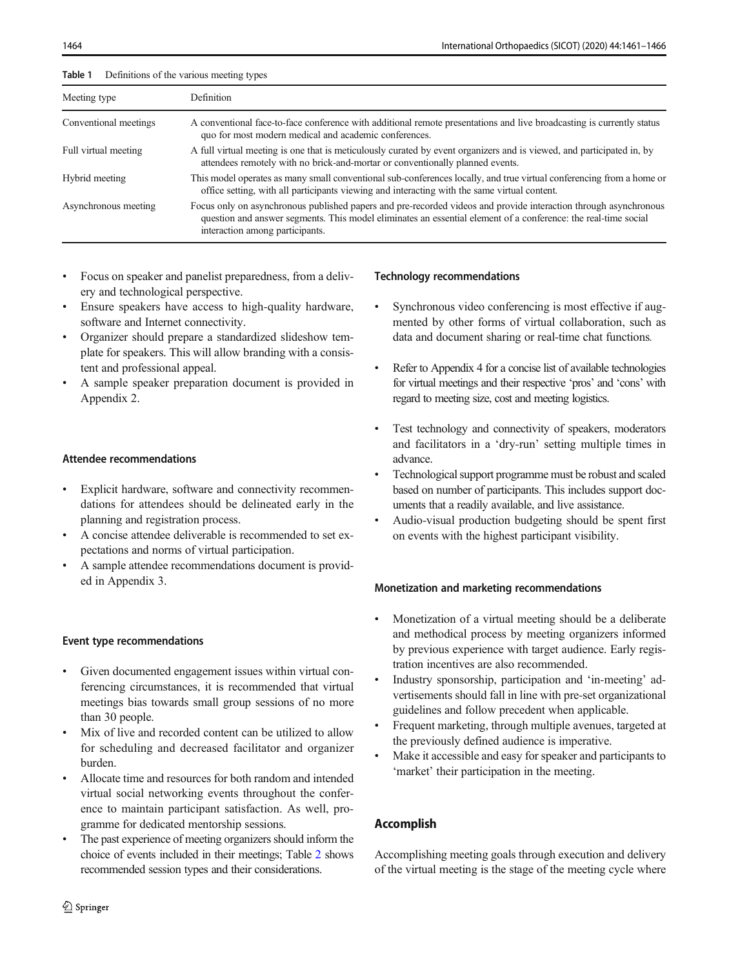| iuvic i<br>Deminions of the various incentig types |                                                                                                                                                                                                                                                                       |  |  |
|----------------------------------------------------|-----------------------------------------------------------------------------------------------------------------------------------------------------------------------------------------------------------------------------------------------------------------------|--|--|
| Meeting type                                       | <b>Definition</b>                                                                                                                                                                                                                                                     |  |  |
| Conventional meetings                              | A conventional face-to-face conference with additional remote presentations and live broadcasting is currently status<br>quo for most modern medical and academic conferences.                                                                                        |  |  |
| Full virtual meeting                               | A full virtual meeting is one that is meticulously curated by event organizers and is viewed, and participated in, by<br>attendees remotely with no brick-and-mortar or conventionally planned events.                                                                |  |  |
| Hybrid meeting                                     | This model operates as many small conventional sub-conferences locally, and true virtual conferencing from a home or<br>office setting, with all participants viewing and interacting with the same virtual content.                                                  |  |  |
| Asynchronous meeting                               | Focus only on asynchronous published papers and pre-recorded videos and provide interaction through asynchronous<br>question and answer segments. This model eliminates an essential element of a conference: the real-time social<br>interaction among participants. |  |  |

Focus on speaker and panelist preparedness, from a delivery and technological perspective.

<span id="page-3-0"></span> $Table 1$  Definitions of the various meeting types

- Ensure speakers have access to high-quality hardware, software and Internet connectivity.
- Organizer should prepare a standardized slideshow template for speakers. This will allow branding with a consistent and professional appeal.
- & A sample speaker preparation document is provided in Appendix 2.

#### Attendee recommendations

- Explicit hardware, software and connectivity recommendations for attendees should be delineated early in the planning and registration process.
- & A concise attendee deliverable is recommended to set expectations and norms of virtual participation.
- & A sample attendee recommendations document is provided in Appendix 3.

## Event type recommendations

- Given documented engagement issues within virtual conferencing circumstances, it is recommended that virtual meetings bias towards small group sessions of no more than 30 people.
- Mix of live and recorded content can be utilized to allow for scheduling and decreased facilitator and organizer burden.
- & Allocate time and resources for both random and intended virtual social networking events throughout the conference to maintain participant satisfaction. As well, programme for dedicated mentorship sessions.
- The past experience of meeting organizers should inform the choice of events included in their meetings; Table [2](#page-4-0) shows recommended session types and their considerations.

## Technology recommendations

- Synchronous video conferencing is most effective if augmented by other forms of virtual collaboration, such as data and document sharing or real-time chat functions.
- Refer to Appendix 4 for a concise list of available technologies for virtual meetings and their respective 'pros' and 'cons' with regard to meeting size, cost and meeting logistics.
- Test technology and connectivity of speakers, moderators and facilitators in a 'dry-run' setting multiple times in advance.
- Technological support programme must be robust and scaled based on number of participants. This includes support documents that a readily available, and live assistance.
- & Audio-visual production budgeting should be spent first on events with the highest participant visibility.

## Monetization and marketing recommendations

- Monetization of a virtual meeting should be a deliberate and methodical process by meeting organizers informed by previous experience with target audience. Early registration incentives are also recommended.
- Industry sponsorship, participation and 'in-meeting' advertisements should fall in line with pre-set organizational guidelines and follow precedent when applicable.
- & Frequent marketing, through multiple avenues, targeted at the previously defined audience is imperative.
- Make it accessible and easy for speaker and participants to 'market' their participation in the meeting.

# Accomplish

Accomplishing meeting goals through execution and delivery of the virtual meeting is the stage of the meeting cycle where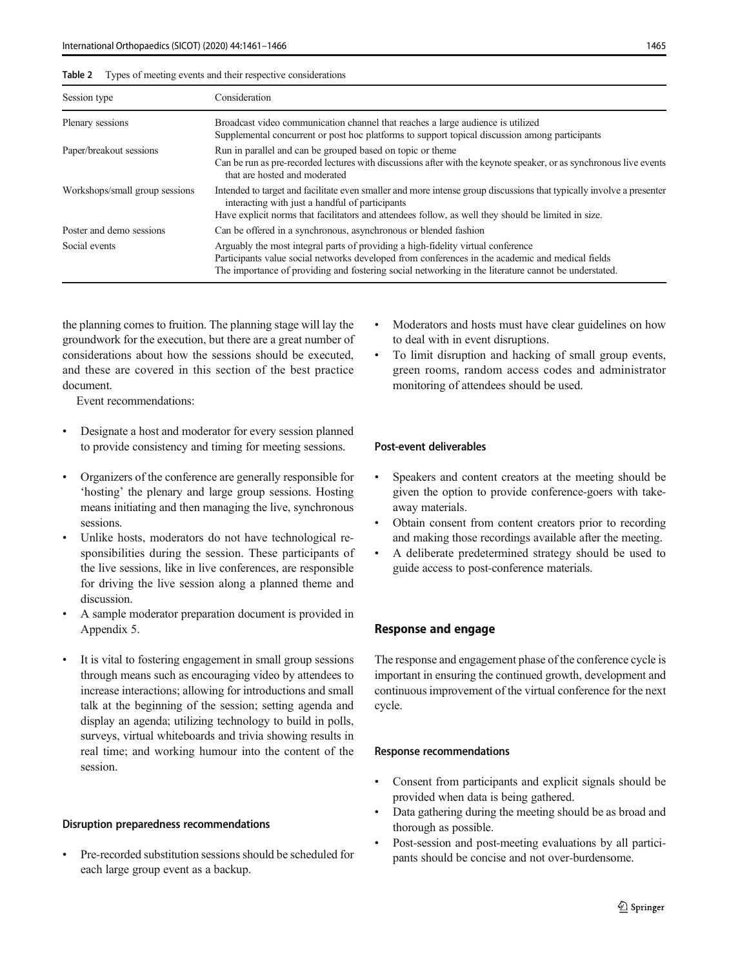<span id="page-4-0"></span>

| Table 2 | Types of meeting events and their respective considerations |  |  |  |
|---------|-------------------------------------------------------------|--|--|--|
|---------|-------------------------------------------------------------|--|--|--|

| Session type                   | Consideration                                                                                                                                                                                                                                                                                |  |
|--------------------------------|----------------------------------------------------------------------------------------------------------------------------------------------------------------------------------------------------------------------------------------------------------------------------------------------|--|
| Plenary sessions               | Broadcast video communication channel that reaches a large audience is utilized<br>Supplemental concurrent or post hoc platforms to support topical discussion among participants                                                                                                            |  |
| Paper/breakout sessions        | Run in parallel and can be grouped based on topic or theme<br>Can be run as pre-recorded lectures with discussions after with the keynote speaker, or as synchronous live events<br>that are hosted and moderated                                                                            |  |
| Workshops/small group sessions | Intended to target and facilitate even smaller and more intense group discussions that typically involve a presenter<br>interacting with just a handful of participants<br>Have explicit norms that facilitators and attendees follow, as well they should be limited in size.               |  |
| Poster and demo sessions       | Can be offered in a synchronous, asynchronous or blended fashion                                                                                                                                                                                                                             |  |
| Social events                  | Arguably the most integral parts of providing a high-fidelity virtual conference<br>Participants value social networks developed from conferences in the academic and medical fields<br>The importance of providing and fostering social networking in the literature cannot be understated. |  |

the planning comes to fruition. The planning stage will lay the groundwork for the execution, but there are a great number of considerations about how the sessions should be executed, and these are covered in this section of the best practice document.

Event recommendations:

- Designate a host and moderator for every session planned to provide consistency and timing for meeting sessions.
- & Organizers of the conference are generally responsible for 'hosting' the plenary and large group sessions. Hosting means initiating and then managing the live, synchronous sessions.
- Unlike hosts, moderators do not have technological responsibilities during the session. These participants of the live sessions, like in live conferences, are responsible for driving the live session along a planned theme and discussion.
- & A sample moderator preparation document is provided in Appendix 5.
- It is vital to fostering engagement in small group sessions through means such as encouraging video by attendees to increase interactions; allowing for introductions and small talk at the beginning of the session; setting agenda and display an agenda; utilizing technology to build in polls, surveys, virtual whiteboards and trivia showing results in real time; and working humour into the content of the session.

#### Disruption preparedness recommendations

Pre-recorded substitution sessions should be scheduled for each large group event as a backup.

- Moderators and hosts must have clear guidelines on how to deal with in event disruptions.
- & To limit disruption and hacking of small group events, green rooms, random access codes and administrator monitoring of attendees should be used.

#### Post-event deliverables

- & Speakers and content creators at the meeting should be given the option to provide conference-goers with takeaway materials.
- Obtain consent from content creators prior to recording and making those recordings available after the meeting.
- & A deliberate predetermined strategy should be used to guide access to post-conference materials.

#### Response and engage

The response and engagement phase of the conference cycle is important in ensuring the continued growth, development and continuous improvement of the virtual conference for the next cycle.

#### Response recommendations

- Consent from participants and explicit signals should be provided when data is being gathered.
- Data gathering during the meeting should be as broad and thorough as possible.
- Post-session and post-meeting evaluations by all participants should be concise and not over-burdensome.